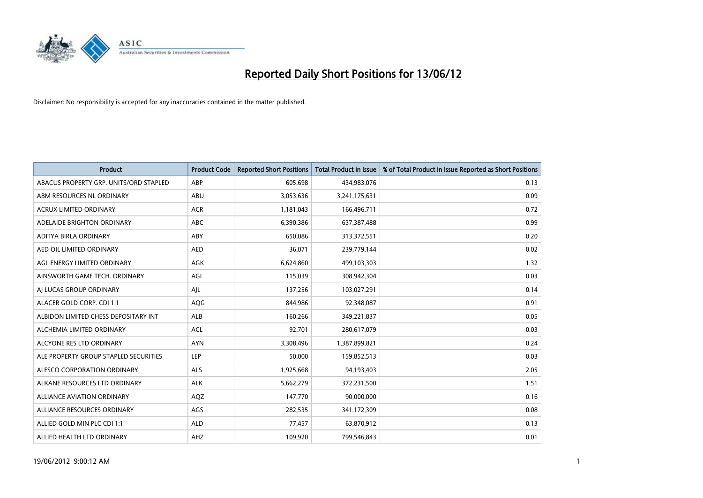

| <b>Product</b>                         | <b>Product Code</b> | <b>Reported Short Positions</b> | <b>Total Product in Issue</b> | % of Total Product in Issue Reported as Short Positions |
|----------------------------------------|---------------------|---------------------------------|-------------------------------|---------------------------------------------------------|
| ABACUS PROPERTY GRP. UNITS/ORD STAPLED | ABP                 | 605,698                         | 434,983,076                   | 0.13                                                    |
| ABM RESOURCES NL ORDINARY              | ABU                 | 3,053,636                       | 3,241,175,631                 | 0.09                                                    |
| <b>ACRUX LIMITED ORDINARY</b>          | <b>ACR</b>          | 1,181,043                       | 166,496,711                   | 0.72                                                    |
| ADELAIDE BRIGHTON ORDINARY             | <b>ABC</b>          | 6,390,386                       | 637,387,488                   | 0.99                                                    |
| ADITYA BIRLA ORDINARY                  | ABY                 | 650,086                         | 313,372,551                   | 0.20                                                    |
| AED OIL LIMITED ORDINARY               | <b>AED</b>          | 36,071                          | 239,779,144                   | 0.02                                                    |
| AGL ENERGY LIMITED ORDINARY            | AGK                 | 6,624,860                       | 499,103,303                   | 1.32                                                    |
| AINSWORTH GAME TECH. ORDINARY          | AGI                 | 115,039                         | 308,942,304                   | 0.03                                                    |
| AI LUCAS GROUP ORDINARY                | AJL                 | 137,256                         | 103,027,291                   | 0.14                                                    |
| ALACER GOLD CORP. CDI 1:1              | AQG                 | 844,986                         | 92,348,087                    | 0.91                                                    |
| ALBIDON LIMITED CHESS DEPOSITARY INT   | ALB                 | 160,266                         | 349,221,837                   | 0.05                                                    |
| ALCHEMIA LIMITED ORDINARY              | <b>ACL</b>          | 92,701                          | 280,617,079                   | 0.03                                                    |
| ALCYONE RES LTD ORDINARY               | <b>AYN</b>          | 3,308,496                       | 1,387,899,821                 | 0.24                                                    |
| ALE PROPERTY GROUP STAPLED SECURITIES  | <b>LEP</b>          | 50,000                          | 159,852,513                   | 0.03                                                    |
| ALESCO CORPORATION ORDINARY            | <b>ALS</b>          | 1,925,668                       | 94,193,403                    | 2.05                                                    |
| ALKANE RESOURCES LTD ORDINARY          | <b>ALK</b>          | 5,662,279                       | 372,231,500                   | 1.51                                                    |
| ALLIANCE AVIATION ORDINARY             | AQZ                 | 147,770                         | 90,000,000                    | 0.16                                                    |
| ALLIANCE RESOURCES ORDINARY            | AGS                 | 282,535                         | 341,172,309                   | 0.08                                                    |
| ALLIED GOLD MIN PLC CDI 1:1            | <b>ALD</b>          | 77,457                          | 63,870,912                    | 0.13                                                    |
| ALLIED HEALTH LTD ORDINARY             | AHZ                 | 109,920                         | 799,546,843                   | 0.01                                                    |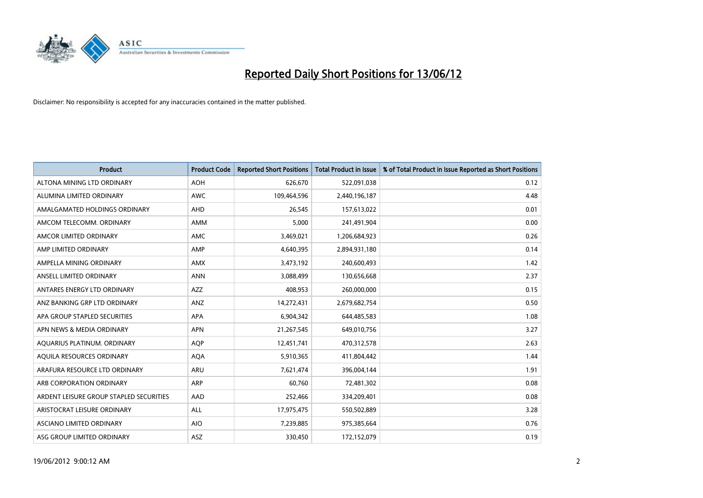

| <b>Product</b>                          | <b>Product Code</b> | <b>Reported Short Positions</b> | <b>Total Product in Issue</b> | % of Total Product in Issue Reported as Short Positions |
|-----------------------------------------|---------------------|---------------------------------|-------------------------------|---------------------------------------------------------|
| ALTONA MINING LTD ORDINARY              | <b>AOH</b>          | 626,670                         | 522,091,038                   | 0.12                                                    |
| ALUMINA LIMITED ORDINARY                | AWC                 | 109,464,596                     | 2,440,196,187                 | 4.48                                                    |
| AMALGAMATED HOLDINGS ORDINARY           | AHD                 | 26,545                          | 157,613,022                   | 0.01                                                    |
| AMCOM TELECOMM, ORDINARY                | AMM                 | 5,000                           | 241,491,904                   | 0.00                                                    |
| AMCOR LIMITED ORDINARY                  | AMC                 | 3,469,021                       | 1,206,684,923                 | 0.26                                                    |
| AMP LIMITED ORDINARY                    | AMP                 | 4,640,395                       | 2,894,931,180                 | 0.14                                                    |
| AMPELLA MINING ORDINARY                 | AMX                 | 3,473,192                       | 240,600,493                   | 1.42                                                    |
| ANSELL LIMITED ORDINARY                 | <b>ANN</b>          | 3,088,499                       | 130,656,668                   | 2.37                                                    |
| ANTARES ENERGY LTD ORDINARY             | <b>AZZ</b>          | 408,953                         | 260,000,000                   | 0.15                                                    |
| ANZ BANKING GRP LTD ORDINARY            | ANZ                 | 14,272,431                      | 2,679,682,754                 | 0.50                                                    |
| APA GROUP STAPLED SECURITIES            | APA                 | 6,904,342                       | 644,485,583                   | 1.08                                                    |
| APN NEWS & MEDIA ORDINARY               | <b>APN</b>          | 21,267,545                      | 649,010,756                   | 3.27                                                    |
| AQUARIUS PLATINUM. ORDINARY             | <b>AOP</b>          | 12,451,741                      | 470,312,578                   | 2.63                                                    |
| AQUILA RESOURCES ORDINARY               | <b>AQA</b>          | 5,910,365                       | 411,804,442                   | 1.44                                                    |
| ARAFURA RESOURCE LTD ORDINARY           | ARU                 | 7,621,474                       | 396,004,144                   | 1.91                                                    |
| ARB CORPORATION ORDINARY                | ARP                 | 60,760                          | 72,481,302                    | 0.08                                                    |
| ARDENT LEISURE GROUP STAPLED SECURITIES | AAD                 | 252,466                         | 334,209,401                   | 0.08                                                    |
| ARISTOCRAT LEISURE ORDINARY             | ALL                 | 17,975,475                      | 550,502,889                   | 3.28                                                    |
| ASCIANO LIMITED ORDINARY                | <b>AIO</b>          | 7,239,885                       | 975,385,664                   | 0.76                                                    |
| ASG GROUP LIMITED ORDINARY              | ASZ                 | 330,450                         | 172,152,079                   | 0.19                                                    |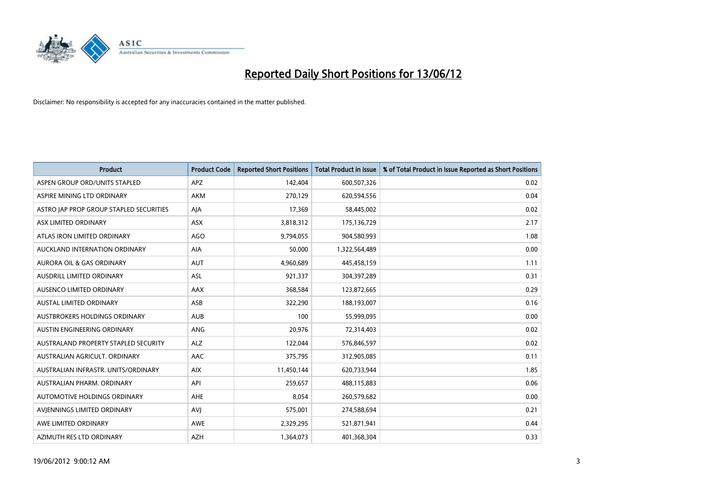

| <b>Product</b>                          | <b>Product Code</b> | <b>Reported Short Positions</b> | <b>Total Product in Issue</b> | % of Total Product in Issue Reported as Short Positions |
|-----------------------------------------|---------------------|---------------------------------|-------------------------------|---------------------------------------------------------|
| ASPEN GROUP ORD/UNITS STAPLED           | <b>APZ</b>          | 142,404                         | 600,507,326                   | 0.02                                                    |
| ASPIRE MINING LTD ORDINARY              | <b>AKM</b>          | 270,129                         | 620,594,556                   | 0.04                                                    |
| ASTRO JAP PROP GROUP STAPLED SECURITIES | AJA                 | 17,369                          | 58,445,002                    | 0.02                                                    |
| ASX LIMITED ORDINARY                    | ASX                 | 3,818,312                       | 175,136,729                   | 2.17                                                    |
| ATLAS IRON LIMITED ORDINARY             | <b>AGO</b>          | 9,794,055                       | 904,580,993                   | 1.08                                                    |
| AUCKLAND INTERNATION ORDINARY           | <b>AIA</b>          | 50,000                          | 1,322,564,489                 | 0.00                                                    |
| <b>AURORA OIL &amp; GAS ORDINARY</b>    | <b>AUT</b>          | 4,960,689                       | 445,458,159                   | 1.11                                                    |
| AUSDRILL LIMITED ORDINARY               | ASL                 | 921,337                         | 304,397,289                   | 0.31                                                    |
| AUSENCO LIMITED ORDINARY                | AAX                 | 368,584                         | 123,872,665                   | 0.29                                                    |
| <b>AUSTAL LIMITED ORDINARY</b>          | ASB                 | 322,290                         | 188,193,007                   | 0.16                                                    |
| AUSTBROKERS HOLDINGS ORDINARY           | <b>AUB</b>          | 100                             | 55,999,095                    | 0.00                                                    |
| AUSTIN ENGINEERING ORDINARY             | ANG                 | 20,976                          | 72,314,403                    | 0.02                                                    |
| AUSTRALAND PROPERTY STAPLED SECURITY    | <b>ALZ</b>          | 122,044                         | 576,846,597                   | 0.02                                                    |
| AUSTRALIAN AGRICULT, ORDINARY           | AAC                 | 375,795                         | 312,905,085                   | 0.11                                                    |
| AUSTRALIAN INFRASTR, UNITS/ORDINARY     | <b>AIX</b>          | 11,450,144                      | 620,733,944                   | 1.85                                                    |
| AUSTRALIAN PHARM. ORDINARY              | API                 | 259,657                         | 488,115,883                   | 0.06                                                    |
| AUTOMOTIVE HOLDINGS ORDINARY            | AHE                 | 8,054                           | 260,579,682                   | 0.00                                                    |
| AVIENNINGS LIMITED ORDINARY             | <b>AVJ</b>          | 575,001                         | 274,588,694                   | 0.21                                                    |
| AWE LIMITED ORDINARY                    | <b>AWE</b>          | 2,329,295                       | 521,871,941                   | 0.44                                                    |
| AZIMUTH RES LTD ORDINARY                | <b>AZH</b>          | 1,364,073                       | 401,368,304                   | 0.33                                                    |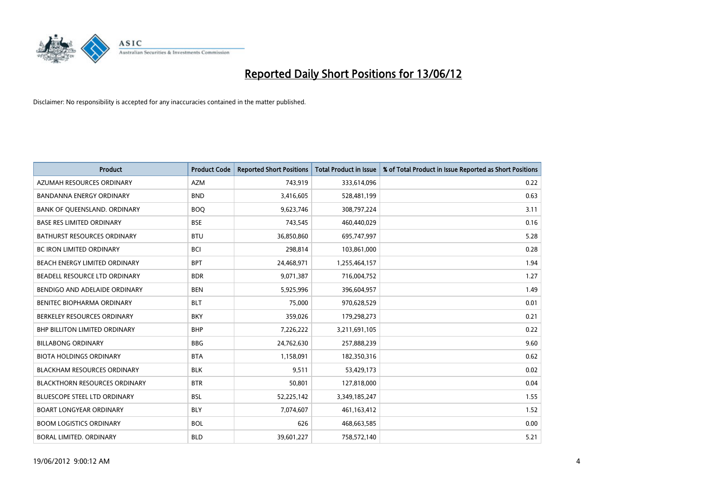

| <b>Product</b>                       | <b>Product Code</b> | <b>Reported Short Positions</b> | <b>Total Product in Issue</b> | % of Total Product in Issue Reported as Short Positions |
|--------------------------------------|---------------------|---------------------------------|-------------------------------|---------------------------------------------------------|
| AZUMAH RESOURCES ORDINARY            | <b>AZM</b>          | 743,919                         | 333,614,096                   | 0.22                                                    |
| BANDANNA ENERGY ORDINARY             | <b>BND</b>          | 3,416,605                       | 528,481,199                   | 0.63                                                    |
| BANK OF QUEENSLAND. ORDINARY         | <b>BOQ</b>          | 9,623,746                       | 308,797,224                   | 3.11                                                    |
| <b>BASE RES LIMITED ORDINARY</b>     | <b>BSE</b>          | 743,545                         | 460,440,029                   | 0.16                                                    |
| <b>BATHURST RESOURCES ORDINARY</b>   | <b>BTU</b>          | 36,850,860                      | 695,747,997                   | 5.28                                                    |
| <b>BC IRON LIMITED ORDINARY</b>      | <b>BCI</b>          | 298,814                         | 103,861,000                   | 0.28                                                    |
| BEACH ENERGY LIMITED ORDINARY        | <b>BPT</b>          | 24,468,971                      | 1,255,464,157                 | 1.94                                                    |
| BEADELL RESOURCE LTD ORDINARY        | <b>BDR</b>          | 9,071,387                       | 716,004,752                   | 1.27                                                    |
| BENDIGO AND ADELAIDE ORDINARY        | <b>BEN</b>          | 5,925,996                       | 396,604,957                   | 1.49                                                    |
| <b>BENITEC BIOPHARMA ORDINARY</b>    | <b>BLT</b>          | 75,000                          | 970,628,529                   | 0.01                                                    |
| BERKELEY RESOURCES ORDINARY          | <b>BKY</b>          | 359,026                         | 179,298,273                   | 0.21                                                    |
| BHP BILLITON LIMITED ORDINARY        | <b>BHP</b>          | 7,226,222                       | 3,211,691,105                 | 0.22                                                    |
| <b>BILLABONG ORDINARY</b>            | <b>BBG</b>          | 24,762,630                      | 257,888,239                   | 9.60                                                    |
| <b>BIOTA HOLDINGS ORDINARY</b>       | <b>BTA</b>          | 1,158,091                       | 182,350,316                   | 0.62                                                    |
| <b>BLACKHAM RESOURCES ORDINARY</b>   | <b>BLK</b>          | 9,511                           | 53,429,173                    | 0.02                                                    |
| <b>BLACKTHORN RESOURCES ORDINARY</b> | <b>BTR</b>          | 50,801                          | 127,818,000                   | 0.04                                                    |
| BLUESCOPE STEEL LTD ORDINARY         | <b>BSL</b>          | 52,225,142                      | 3,349,185,247                 | 1.55                                                    |
| <b>BOART LONGYEAR ORDINARY</b>       | <b>BLY</b>          | 7,074,607                       | 461,163,412                   | 1.52                                                    |
| <b>BOOM LOGISTICS ORDINARY</b>       | <b>BOL</b>          | 626                             | 468,663,585                   | 0.00                                                    |
| BORAL LIMITED. ORDINARY              | <b>BLD</b>          | 39,601,227                      | 758,572,140                   | 5.21                                                    |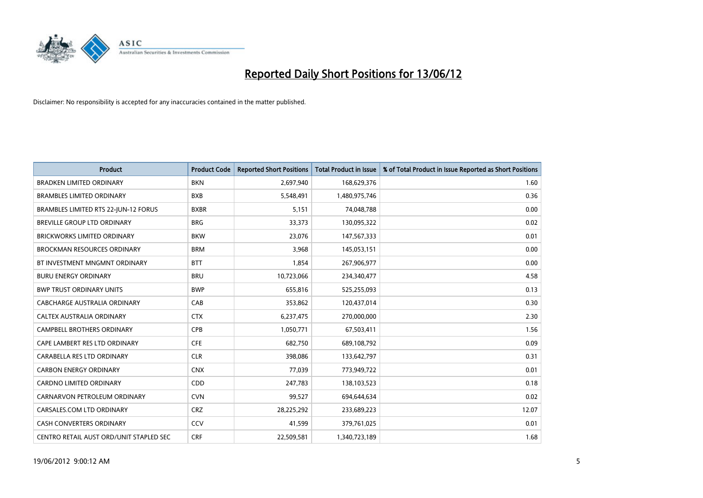

| <b>Product</b>                          | <b>Product Code</b> | <b>Reported Short Positions</b> | <b>Total Product in Issue</b> | % of Total Product in Issue Reported as Short Positions |
|-----------------------------------------|---------------------|---------------------------------|-------------------------------|---------------------------------------------------------|
| <b>BRADKEN LIMITED ORDINARY</b>         | <b>BKN</b>          | 2,697,940                       | 168,629,376                   | 1.60                                                    |
| <b>BRAMBLES LIMITED ORDINARY</b>        | <b>BXB</b>          | 5,548,491                       | 1,480,975,746                 | 0.36                                                    |
| BRAMBLES LIMITED RTS 22-JUN-12 FORUS    | <b>BXBR</b>         | 5,151                           | 74,048,788                    | 0.00                                                    |
| BREVILLE GROUP LTD ORDINARY             | <b>BRG</b>          | 33,373                          | 130,095,322                   | 0.02                                                    |
| <b>BRICKWORKS LIMITED ORDINARY</b>      | <b>BKW</b>          | 23,076                          | 147,567,333                   | 0.01                                                    |
| <b>BROCKMAN RESOURCES ORDINARY</b>      | <b>BRM</b>          | 3,968                           | 145,053,151                   | 0.00                                                    |
| BT INVESTMENT MNGMNT ORDINARY           | <b>BTT</b>          | 1,854                           | 267,906,977                   | 0.00                                                    |
| <b>BURU ENERGY ORDINARY</b>             | <b>BRU</b>          | 10,723,066                      | 234,340,477                   | 4.58                                                    |
| <b>BWP TRUST ORDINARY UNITS</b>         | <b>BWP</b>          | 655,816                         | 525,255,093                   | 0.13                                                    |
| <b>CABCHARGE AUSTRALIA ORDINARY</b>     | CAB                 | 353,862                         | 120,437,014                   | 0.30                                                    |
| CALTEX AUSTRALIA ORDINARY               | <b>CTX</b>          | 6,237,475                       | 270,000,000                   | 2.30                                                    |
| <b>CAMPBELL BROTHERS ORDINARY</b>       | <b>CPB</b>          | 1,050,771                       | 67,503,411                    | 1.56                                                    |
| CAPE LAMBERT RES LTD ORDINARY           | <b>CFE</b>          | 682,750                         | 689,108,792                   | 0.09                                                    |
| CARABELLA RES LTD ORDINARY              | <b>CLR</b>          | 398,086                         | 133,642,797                   | 0.31                                                    |
| <b>CARBON ENERGY ORDINARY</b>           | <b>CNX</b>          | 77,039                          | 773,949,722                   | 0.01                                                    |
| CARDNO LIMITED ORDINARY                 | CDD                 | 247,783                         | 138,103,523                   | 0.18                                                    |
| CARNARVON PETROLEUM ORDINARY            | <b>CVN</b>          | 99,527                          | 694,644,634                   | 0.02                                                    |
| CARSALES.COM LTD ORDINARY               | <b>CRZ</b>          | 28,225,292                      | 233,689,223                   | 12.07                                                   |
| <b>CASH CONVERTERS ORDINARY</b>         | CCV                 | 41,599                          | 379,761,025                   | 0.01                                                    |
| CENTRO RETAIL AUST ORD/UNIT STAPLED SEC | <b>CRF</b>          | 22,509,581                      | 1,340,723,189                 | 1.68                                                    |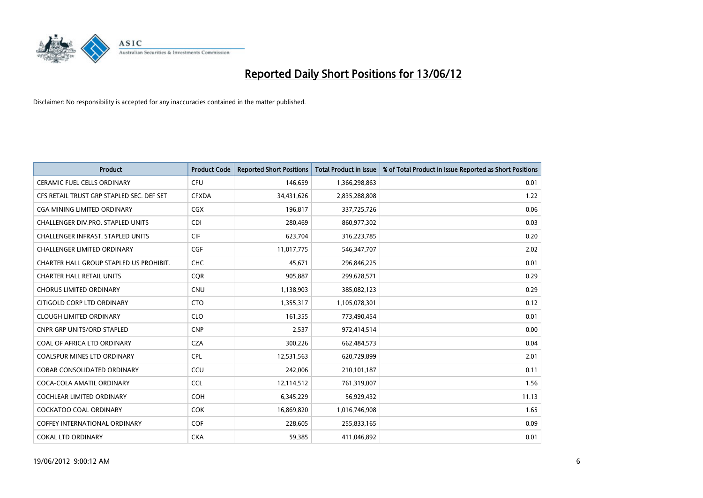

| <b>Product</b>                            | <b>Product Code</b> | <b>Reported Short Positions</b> | <b>Total Product in Issue</b> | % of Total Product in Issue Reported as Short Positions |
|-------------------------------------------|---------------------|---------------------------------|-------------------------------|---------------------------------------------------------|
| <b>CERAMIC FUEL CELLS ORDINARY</b>        | <b>CFU</b>          | 146,659                         | 1,366,298,863                 | 0.01                                                    |
| CFS RETAIL TRUST GRP STAPLED SEC. DEF SET | <b>CFXDA</b>        | 34,431,626                      | 2,835,288,808                 | 1.22                                                    |
| CGA MINING LIMITED ORDINARY               | CGX                 | 196,817                         | 337,725,726                   | 0.06                                                    |
| CHALLENGER DIV.PRO. STAPLED UNITS         | <b>CDI</b>          | 280,469                         | 860,977,302                   | 0.03                                                    |
| <b>CHALLENGER INFRAST, STAPLED UNITS</b>  | <b>CIF</b>          | 623,704                         | 316,223,785                   | 0.20                                                    |
| <b>CHALLENGER LIMITED ORDINARY</b>        | CGF                 | 11,017,775                      | 546,347,707                   | 2.02                                                    |
| CHARTER HALL GROUP STAPLED US PROHIBIT.   | <b>CHC</b>          | 45,671                          | 296,846,225                   | 0.01                                                    |
| <b>CHARTER HALL RETAIL UNITS</b>          | <b>CQR</b>          | 905,887                         | 299,628,571                   | 0.29                                                    |
| <b>CHORUS LIMITED ORDINARY</b>            | <b>CNU</b>          | 1,138,903                       | 385,082,123                   | 0.29                                                    |
| CITIGOLD CORP LTD ORDINARY                | <b>CTO</b>          | 1,355,317                       | 1,105,078,301                 | 0.12                                                    |
| <b>CLOUGH LIMITED ORDINARY</b>            | <b>CLO</b>          | 161,355                         | 773,490,454                   | 0.01                                                    |
| <b>CNPR GRP UNITS/ORD STAPLED</b>         | <b>CNP</b>          | 2,537                           | 972,414,514                   | 0.00                                                    |
| COAL OF AFRICA LTD ORDINARY               | <b>CZA</b>          | 300,226                         | 662,484,573                   | 0.04                                                    |
| <b>COALSPUR MINES LTD ORDINARY</b>        | <b>CPL</b>          | 12,531,563                      | 620,729,899                   | 2.01                                                    |
| <b>COBAR CONSOLIDATED ORDINARY</b>        | CCU                 | 242,006                         | 210,101,187                   | 0.11                                                    |
| COCA-COLA AMATIL ORDINARY                 | <b>CCL</b>          | 12,114,512                      | 761,319,007                   | 1.56                                                    |
| COCHLEAR LIMITED ORDINARY                 | <b>COH</b>          | 6,345,229                       | 56,929,432                    | 11.13                                                   |
| <b>COCKATOO COAL ORDINARY</b>             | <b>COK</b>          | 16,869,820                      | 1,016,746,908                 | 1.65                                                    |
| <b>COFFEY INTERNATIONAL ORDINARY</b>      | <b>COF</b>          | 228,605                         | 255,833,165                   | 0.09                                                    |
| <b>COKAL LTD ORDINARY</b>                 | <b>CKA</b>          | 59,385                          | 411,046,892                   | 0.01                                                    |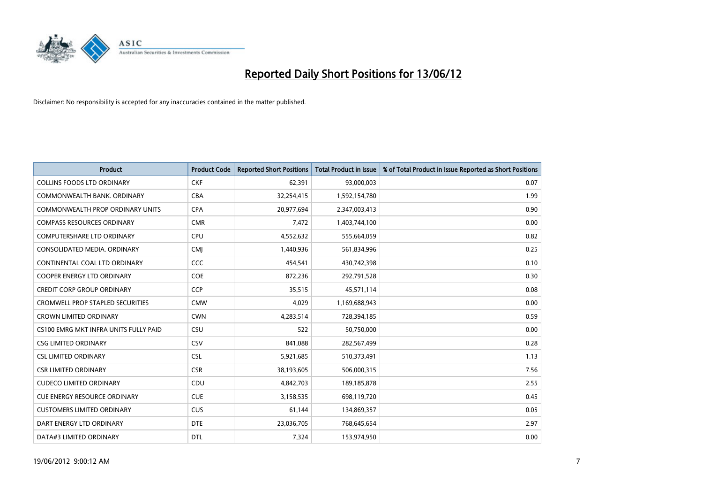

| <b>Product</b>                          | <b>Product Code</b> | <b>Reported Short Positions</b> | <b>Total Product in Issue</b> | % of Total Product in Issue Reported as Short Positions |
|-----------------------------------------|---------------------|---------------------------------|-------------------------------|---------------------------------------------------------|
| <b>COLLINS FOODS LTD ORDINARY</b>       | <b>CKF</b>          | 62,391                          | 93,000,003                    | 0.07                                                    |
| COMMONWEALTH BANK, ORDINARY             | <b>CBA</b>          | 32,254,415                      | 1,592,154,780                 | 1.99                                                    |
| <b>COMMONWEALTH PROP ORDINARY UNITS</b> | <b>CPA</b>          | 20,977,694                      | 2,347,003,413                 | 0.90                                                    |
| <b>COMPASS RESOURCES ORDINARY</b>       | <b>CMR</b>          | 7,472                           | 1,403,744,100                 | 0.00                                                    |
| <b>COMPUTERSHARE LTD ORDINARY</b>       | <b>CPU</b>          | 4,552,632                       | 555,664,059                   | 0.82                                                    |
| CONSOLIDATED MEDIA, ORDINARY            | <b>CMI</b>          | 1,440,936                       | 561,834,996                   | 0.25                                                    |
| CONTINENTAL COAL LTD ORDINARY           | <b>CCC</b>          | 454,541                         | 430,742,398                   | 0.10                                                    |
| COOPER ENERGY LTD ORDINARY              | <b>COE</b>          | 872,236                         | 292,791,528                   | 0.30                                                    |
| <b>CREDIT CORP GROUP ORDINARY</b>       | <b>CCP</b>          | 35,515                          | 45,571,114                    | 0.08                                                    |
| <b>CROMWELL PROP STAPLED SECURITIES</b> | <b>CMW</b>          | 4,029                           | 1,169,688,943                 | 0.00                                                    |
| <b>CROWN LIMITED ORDINARY</b>           | <b>CWN</b>          | 4,283,514                       | 728,394,185                   | 0.59                                                    |
| CS100 EMRG MKT INFRA UNITS FULLY PAID   | CSU                 | 522                             | 50,750,000                    | 0.00                                                    |
| <b>CSG LIMITED ORDINARY</b>             | CSV                 | 841,088                         | 282,567,499                   | 0.28                                                    |
| <b>CSL LIMITED ORDINARY</b>             | <b>CSL</b>          | 5,921,685                       | 510,373,491                   | 1.13                                                    |
| <b>CSR LIMITED ORDINARY</b>             | <b>CSR</b>          | 38,193,605                      | 506,000,315                   | 7.56                                                    |
| <b>CUDECO LIMITED ORDINARY</b>          | CDU                 | 4,842,703                       | 189, 185, 878                 | 2.55                                                    |
| <b>CUE ENERGY RESOURCE ORDINARY</b>     | <b>CUE</b>          | 3,158,535                       | 698,119,720                   | 0.45                                                    |
| <b>CUSTOMERS LIMITED ORDINARY</b>       | <b>CUS</b>          | 61,144                          | 134,869,357                   | 0.05                                                    |
| DART ENERGY LTD ORDINARY                | <b>DTE</b>          | 23,036,705                      | 768,645,654                   | 2.97                                                    |
| DATA#3 LIMITED ORDINARY                 | <b>DTL</b>          | 7,324                           | 153,974,950                   | 0.00                                                    |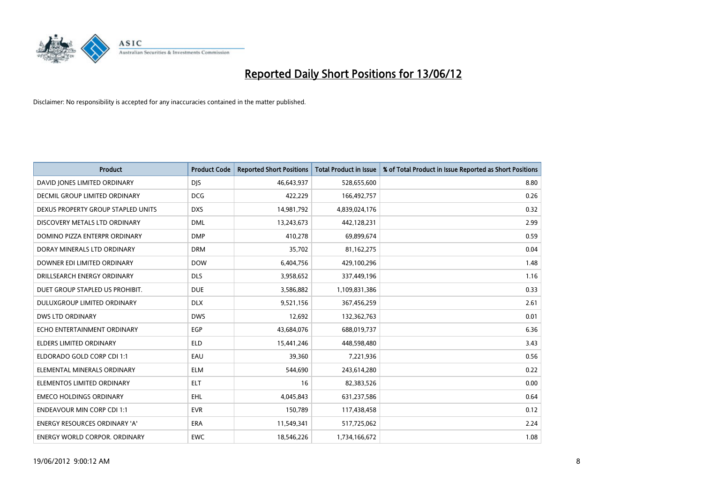

| <b>Product</b>                       | <b>Product Code</b> | <b>Reported Short Positions</b> | <b>Total Product in Issue</b> | % of Total Product in Issue Reported as Short Positions |
|--------------------------------------|---------------------|---------------------------------|-------------------------------|---------------------------------------------------------|
| DAVID JONES LIMITED ORDINARY         | <b>DJS</b>          | 46,643,937                      | 528,655,600                   | 8.80                                                    |
| DECMIL GROUP LIMITED ORDINARY        | <b>DCG</b>          | 422,229                         | 166,492,757                   | 0.26                                                    |
| DEXUS PROPERTY GROUP STAPLED UNITS   | <b>DXS</b>          | 14,981,792                      | 4,839,024,176                 | 0.32                                                    |
| DISCOVERY METALS LTD ORDINARY        | <b>DML</b>          | 13,243,673                      | 442,128,231                   | 2.99                                                    |
| DOMINO PIZZA ENTERPR ORDINARY        | <b>DMP</b>          | 410,278                         | 69,899,674                    | 0.59                                                    |
| DORAY MINERALS LTD ORDINARY          | <b>DRM</b>          | 35,702                          | 81,162,275                    | 0.04                                                    |
| DOWNER EDI LIMITED ORDINARY          | <b>DOW</b>          | 6,404,756                       | 429,100,296                   | 1.48                                                    |
| DRILLSEARCH ENERGY ORDINARY          | <b>DLS</b>          | 3,958,652                       | 337,449,196                   | 1.16                                                    |
| DUET GROUP STAPLED US PROHIBIT.      | <b>DUE</b>          | 3,586,882                       | 1,109,831,386                 | 0.33                                                    |
| DULUXGROUP LIMITED ORDINARY          | <b>DLX</b>          | 9,521,156                       | 367,456,259                   | 2.61                                                    |
| DWS LTD ORDINARY                     | <b>DWS</b>          | 12,692                          | 132,362,763                   | 0.01                                                    |
| ECHO ENTERTAINMENT ORDINARY          | <b>EGP</b>          | 43,684,076                      | 688,019,737                   | 6.36                                                    |
| ELDERS LIMITED ORDINARY              | <b>ELD</b>          | 15,441,246                      | 448,598,480                   | 3.43                                                    |
| ELDORADO GOLD CORP CDI 1:1           | EAU                 | 39,360                          | 7,221,936                     | 0.56                                                    |
| ELEMENTAL MINERALS ORDINARY          | <b>ELM</b>          | 544,690                         | 243,614,280                   | 0.22                                                    |
| ELEMENTOS LIMITED ORDINARY           | <b>ELT</b>          | 16                              | 82,383,526                    | 0.00                                                    |
| <b>EMECO HOLDINGS ORDINARY</b>       | <b>EHL</b>          | 4,045,843                       | 631,237,586                   | 0.64                                                    |
| <b>ENDEAVOUR MIN CORP CDI 1:1</b>    | <b>EVR</b>          | 150,789                         | 117,438,458                   | 0.12                                                    |
| <b>ENERGY RESOURCES ORDINARY 'A'</b> | <b>ERA</b>          | 11,549,341                      | 517,725,062                   | 2.24                                                    |
| ENERGY WORLD CORPOR. ORDINARY        | <b>EWC</b>          | 18,546,226                      | 1,734,166,672                 | 1.08                                                    |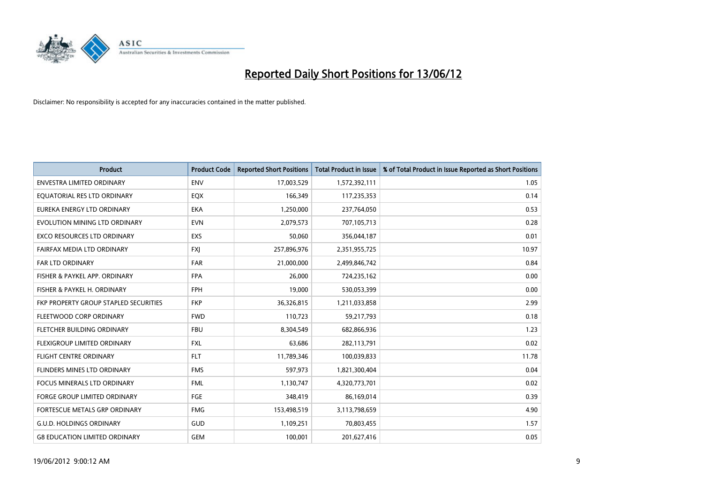

| <b>Product</b>                        | <b>Product Code</b> | <b>Reported Short Positions</b> | <b>Total Product in Issue</b> | % of Total Product in Issue Reported as Short Positions |
|---------------------------------------|---------------------|---------------------------------|-------------------------------|---------------------------------------------------------|
| <b>ENVESTRA LIMITED ORDINARY</b>      | <b>ENV</b>          | 17,003,529                      | 1,572,392,111                 | 1.05                                                    |
| EQUATORIAL RES LTD ORDINARY           | EQX                 | 166,349                         | 117,235,353                   | 0.14                                                    |
| EUREKA ENERGY LTD ORDINARY            | <b>EKA</b>          | 1,250,000                       | 237,764,050                   | 0.53                                                    |
| EVOLUTION MINING LTD ORDINARY         | <b>EVN</b>          | 2,079,573                       | 707,105,713                   | 0.28                                                    |
| <b>EXCO RESOURCES LTD ORDINARY</b>    | EXS                 | 50,060                          | 356,044,187                   | 0.01                                                    |
| FAIRFAX MEDIA LTD ORDINARY            | <b>FXJ</b>          | 257,896,976                     | 2,351,955,725                 | 10.97                                                   |
| <b>FAR LTD ORDINARY</b>               | <b>FAR</b>          | 21,000,000                      | 2,499,846,742                 | 0.84                                                    |
| FISHER & PAYKEL APP. ORDINARY         | <b>FPA</b>          | 26,000                          | 724,235,162                   | 0.00                                                    |
| FISHER & PAYKEL H. ORDINARY           | <b>FPH</b>          | 19,000                          | 530,053,399                   | 0.00                                                    |
| FKP PROPERTY GROUP STAPLED SECURITIES | <b>FKP</b>          | 36,326,815                      | 1,211,033,858                 | 2.99                                                    |
| FLEETWOOD CORP ORDINARY               | <b>FWD</b>          | 110,723                         | 59,217,793                    | 0.18                                                    |
| FLETCHER BUILDING ORDINARY            | <b>FBU</b>          | 8,304,549                       | 682,866,936                   | 1.23                                                    |
| FLEXIGROUP LIMITED ORDINARY           | FXL                 | 63,686                          | 282,113,791                   | 0.02                                                    |
| <b>FLIGHT CENTRE ORDINARY</b>         | <b>FLT</b>          | 11,789,346                      | 100,039,833                   | 11.78                                                   |
| FLINDERS MINES LTD ORDINARY           | <b>FMS</b>          | 597,973                         | 1,821,300,404                 | 0.04                                                    |
| <b>FOCUS MINERALS LTD ORDINARY</b>    | <b>FML</b>          | 1,130,747                       | 4,320,773,701                 | 0.02                                                    |
| FORGE GROUP LIMITED ORDINARY          | FGE                 | 348,419                         | 86,169,014                    | 0.39                                                    |
| FORTESCUE METALS GRP ORDINARY         | <b>FMG</b>          | 153,498,519                     | 3,113,798,659                 | 4.90                                                    |
| <b>G.U.D. HOLDINGS ORDINARY</b>       | <b>GUD</b>          | 1,109,251                       | 70,803,455                    | 1.57                                                    |
| <b>G8 EDUCATION LIMITED ORDINARY</b>  | <b>GEM</b>          | 100,001                         | 201,627,416                   | 0.05                                                    |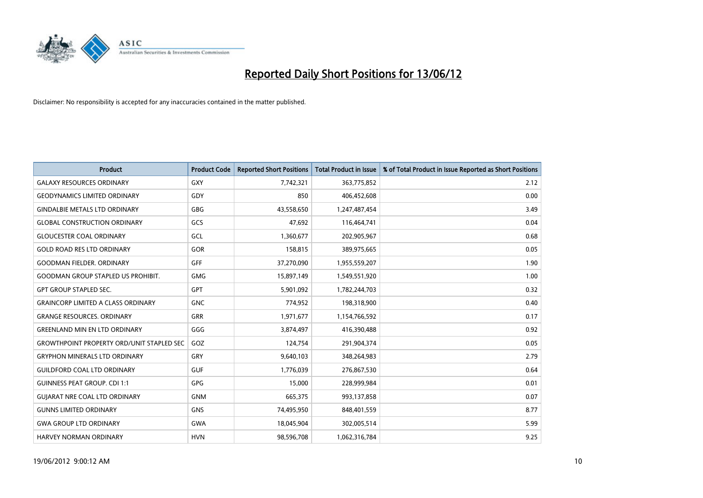

| <b>Product</b>                                   | <b>Product Code</b> | <b>Reported Short Positions</b> | <b>Total Product in Issue</b> | % of Total Product in Issue Reported as Short Positions |
|--------------------------------------------------|---------------------|---------------------------------|-------------------------------|---------------------------------------------------------|
| <b>GALAXY RESOURCES ORDINARY</b>                 | <b>GXY</b>          | 7,742,321                       | 363,775,852                   | 2.12                                                    |
| <b>GEODYNAMICS LIMITED ORDINARY</b>              | GDY                 | 850                             | 406,452,608                   | 0.00                                                    |
| <b>GINDALBIE METALS LTD ORDINARY</b>             | GBG                 | 43,558,650                      | 1,247,487,454                 | 3.49                                                    |
| <b>GLOBAL CONSTRUCTION ORDINARY</b>              | GCS                 | 47,692                          | 116,464,741                   | 0.04                                                    |
| <b>GLOUCESTER COAL ORDINARY</b>                  | GCL                 | 1,360,677                       | 202,905,967                   | 0.68                                                    |
| <b>GOLD ROAD RES LTD ORDINARY</b>                | GOR                 | 158,815                         | 389,975,665                   | 0.05                                                    |
| <b>GOODMAN FIELDER, ORDINARY</b>                 | <b>GFF</b>          | 37,270,090                      | 1,955,559,207                 | 1.90                                                    |
| <b>GOODMAN GROUP STAPLED US PROHIBIT.</b>        | <b>GMG</b>          | 15,897,149                      | 1,549,551,920                 | 1.00                                                    |
| <b>GPT GROUP STAPLED SEC.</b>                    | <b>GPT</b>          | 5,901,092                       | 1,782,244,703                 | 0.32                                                    |
| <b>GRAINCORP LIMITED A CLASS ORDINARY</b>        | <b>GNC</b>          | 774,952                         | 198,318,900                   | 0.40                                                    |
| <b>GRANGE RESOURCES. ORDINARY</b>                | <b>GRR</b>          | 1,971,677                       | 1,154,766,592                 | 0.17                                                    |
| <b>GREENLAND MIN EN LTD ORDINARY</b>             | GGG                 | 3,874,497                       | 416,390,488                   | 0.92                                                    |
| <b>GROWTHPOINT PROPERTY ORD/UNIT STAPLED SEC</b> | GOZ                 | 124,754                         | 291,904,374                   | 0.05                                                    |
| <b>GRYPHON MINERALS LTD ORDINARY</b>             | GRY                 | 9,640,103                       | 348,264,983                   | 2.79                                                    |
| <b>GUILDFORD COAL LTD ORDINARY</b>               | <b>GUF</b>          | 1,776,039                       | 276,867,530                   | 0.64                                                    |
| <b>GUINNESS PEAT GROUP. CDI 1:1</b>              | GPG                 | 15,000                          | 228,999,984                   | 0.01                                                    |
| <b>GUIARAT NRE COAL LTD ORDINARY</b>             | <b>GNM</b>          | 665,375                         | 993,137,858                   | 0.07                                                    |
| <b>GUNNS LIMITED ORDINARY</b>                    | <b>GNS</b>          | 74,495,950                      | 848,401,559                   | 8.77                                                    |
| <b>GWA GROUP LTD ORDINARY</b>                    | <b>GWA</b>          | 18,045,904                      | 302,005,514                   | 5.99                                                    |
| <b>HARVEY NORMAN ORDINARY</b>                    | <b>HVN</b>          | 98,596,708                      | 1,062,316,784                 | 9.25                                                    |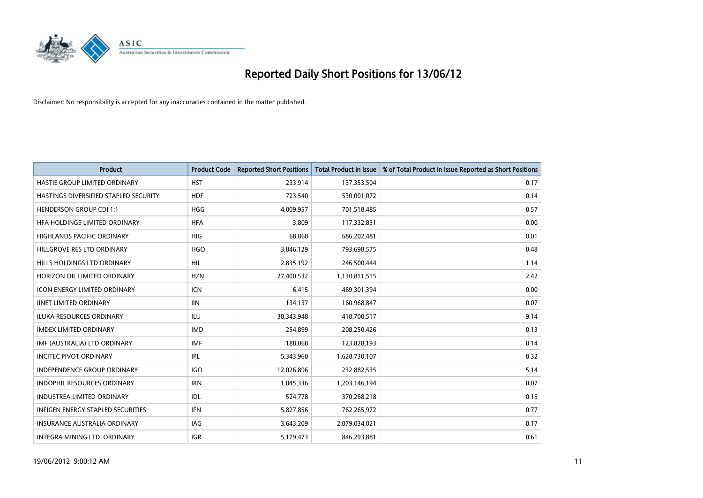

| <b>Product</b>                           | <b>Product Code</b> | <b>Reported Short Positions</b> | <b>Total Product in Issue</b> | % of Total Product in Issue Reported as Short Positions |
|------------------------------------------|---------------------|---------------------------------|-------------------------------|---------------------------------------------------------|
| HASTIE GROUP LIMITED ORDINARY            | <b>HST</b>          | 233,914                         | 137,353,504                   | 0.17                                                    |
| HASTINGS DIVERSIFIED STAPLED SECURITY    | <b>HDF</b>          | 723,540                         | 530,001,072                   | 0.14                                                    |
| <b>HENDERSON GROUP CDI 1:1</b>           | <b>HGG</b>          | 4,009,957                       | 701,518,485                   | 0.57                                                    |
| HFA HOLDINGS LIMITED ORDINARY            | <b>HFA</b>          | 3,809                           | 117,332,831                   | 0.00                                                    |
| <b>HIGHLANDS PACIFIC ORDINARY</b>        | <b>HIG</b>          | 68,868                          | 686,202,481                   | 0.01                                                    |
| HILLGROVE RES LTD ORDINARY               | <b>HGO</b>          | 3,846,129                       | 793,698,575                   | 0.48                                                    |
| HILLS HOLDINGS LTD ORDINARY              | <b>HIL</b>          | 2,835,192                       | 246,500,444                   | 1.14                                                    |
| HORIZON OIL LIMITED ORDINARY             | <b>HZN</b>          | 27,400,532                      | 1,130,811,515                 | 2.42                                                    |
| <b>ICON ENERGY LIMITED ORDINARY</b>      | <b>ICN</b>          | 6,415                           | 469,301,394                   | 0.00                                                    |
| <b>IINET LIMITED ORDINARY</b>            | <b>IIN</b>          | 134,137                         | 160,968,847                   | 0.07                                                    |
| ILUKA RESOURCES ORDINARY                 | ILU                 | 38,343,948                      | 418,700,517                   | 9.14                                                    |
| <b>IMDEX LIMITED ORDINARY</b>            | <b>IMD</b>          | 254,899                         | 208,250,426                   | 0.13                                                    |
| IMF (AUSTRALIA) LTD ORDINARY             | <b>IMF</b>          | 188,068                         | 123,828,193                   | 0.14                                                    |
| <b>INCITEC PIVOT ORDINARY</b>            | IPL                 | 5,343,960                       | 1,628,730,107                 | 0.32                                                    |
| <b>INDEPENDENCE GROUP ORDINARY</b>       | <b>IGO</b>          | 12,026,896                      | 232,882,535                   | 5.14                                                    |
| INDOPHIL RESOURCES ORDINARY              | <b>IRN</b>          | 1,045,336                       | 1,203,146,194                 | 0.07                                                    |
| INDUSTREA LIMITED ORDINARY               | IDL                 | 524,778                         | 370,268,218                   | 0.15                                                    |
| <b>INFIGEN ENERGY STAPLED SECURITIES</b> | <b>IFN</b>          | 5,827,856                       | 762,265,972                   | 0.77                                                    |
| <b>INSURANCE AUSTRALIA ORDINARY</b>      | IAG                 | 3,643,209                       | 2,079,034,021                 | 0.17                                                    |
| INTEGRA MINING LTD. ORDINARY             | <b>IGR</b>          | 5,179,473                       | 846,293,881                   | 0.61                                                    |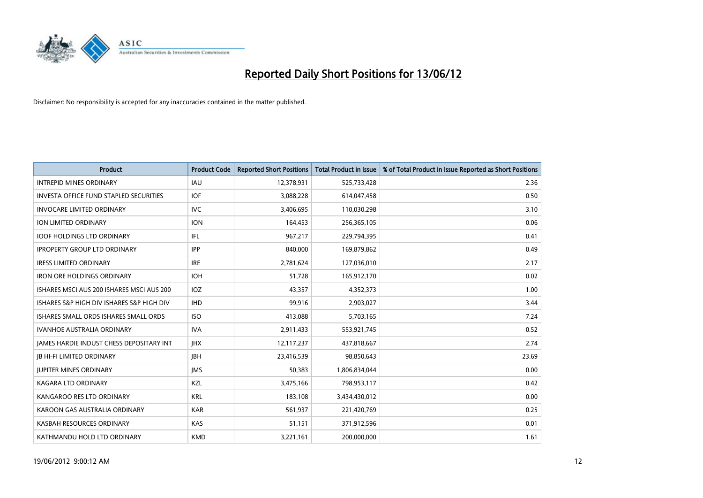

| <b>Product</b>                                  | <b>Product Code</b> | <b>Reported Short Positions</b> | <b>Total Product in Issue</b> | % of Total Product in Issue Reported as Short Positions |
|-------------------------------------------------|---------------------|---------------------------------|-------------------------------|---------------------------------------------------------|
| <b>INTREPID MINES ORDINARY</b>                  | IAU                 | 12,378,931                      | 525,733,428                   | 2.36                                                    |
| <b>INVESTA OFFICE FUND STAPLED SECURITIES</b>   | <b>IOF</b>          | 3,088,228                       | 614,047,458                   | 0.50                                                    |
| <b>INVOCARE LIMITED ORDINARY</b>                | <b>IVC</b>          | 3,406,695                       | 110,030,298                   | 3.10                                                    |
| ION LIMITED ORDINARY                            | <b>ION</b>          | 164,453                         | 256,365,105                   | 0.06                                                    |
| <b>IOOF HOLDINGS LTD ORDINARY</b>               | IFL                 | 967,217                         | 229,794,395                   | 0.41                                                    |
| <b>IPROPERTY GROUP LTD ORDINARY</b>             | <b>IPP</b>          | 840,000                         | 169,879,862                   | 0.49                                                    |
| <b>IRESS LIMITED ORDINARY</b>                   | <b>IRE</b>          | 2,781,624                       | 127,036,010                   | 2.17                                                    |
| IRON ORE HOLDINGS ORDINARY                      | <b>IOH</b>          | 51,728                          | 165,912,170                   | 0.02                                                    |
| ISHARES MSCI AUS 200 ISHARES MSCI AUS 200       | IOZ                 | 43,357                          | 4,352,373                     | 1.00                                                    |
| ISHARES S&P HIGH DIV ISHARES S&P HIGH DIV       | <b>IHD</b>          | 99,916                          | 2,903,027                     | 3.44                                                    |
| ISHARES SMALL ORDS ISHARES SMALL ORDS           | <b>ISO</b>          | 413,088                         | 5,703,165                     | 7.24                                                    |
| <b>IVANHOE AUSTRALIA ORDINARY</b>               | <b>IVA</b>          | 2,911,433                       | 553,921,745                   | 0.52                                                    |
| <b>IAMES HARDIE INDUST CHESS DEPOSITARY INT</b> | <b>IHX</b>          | 12, 117, 237                    | 437,818,667                   | 2.74                                                    |
| <b>IB HI-FI LIMITED ORDINARY</b>                | <b>IBH</b>          | 23,416,539                      | 98,850,643                    | 23.69                                                   |
| <b>JUPITER MINES ORDINARY</b>                   | <b>IMS</b>          | 50,383                          | 1,806,834,044                 | 0.00                                                    |
| <b>KAGARA LTD ORDINARY</b>                      | KZL                 | 3,475,166                       | 798,953,117                   | 0.42                                                    |
| KANGAROO RES LTD ORDINARY                       | <b>KRL</b>          | 183,108                         | 3,434,430,012                 | 0.00                                                    |
| KAROON GAS AUSTRALIA ORDINARY                   | <b>KAR</b>          | 561,937                         | 221,420,769                   | 0.25                                                    |
| KASBAH RESOURCES ORDINARY                       | <b>KAS</b>          | 51,151                          | 371,912,596                   | 0.01                                                    |
| KATHMANDU HOLD LTD ORDINARY                     | <b>KMD</b>          | 3,221,161                       | 200,000,000                   | 1.61                                                    |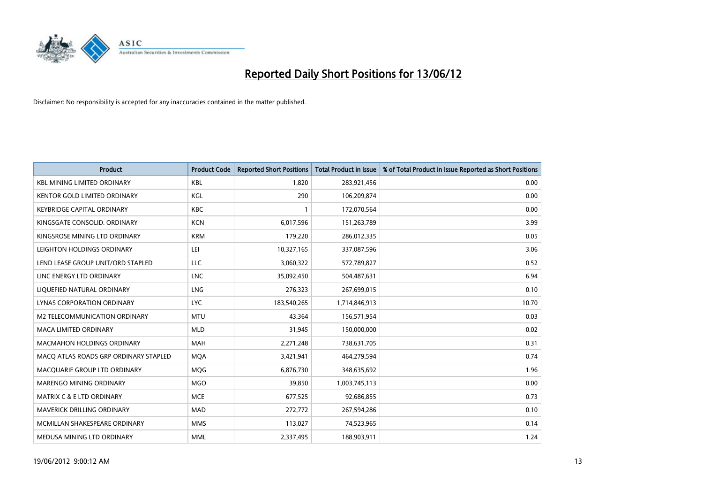

| <b>Product</b>                        | <b>Product Code</b> | <b>Reported Short Positions</b> | <b>Total Product in Issue</b> | % of Total Product in Issue Reported as Short Positions |
|---------------------------------------|---------------------|---------------------------------|-------------------------------|---------------------------------------------------------|
| <b>KBL MINING LIMITED ORDINARY</b>    | <b>KBL</b>          | 1.820                           | 283,921,456                   | 0.00                                                    |
| <b>KENTOR GOLD LIMITED ORDINARY</b>   | KGL                 | 290                             | 106,209,874                   | 0.00                                                    |
| <b>KEYBRIDGE CAPITAL ORDINARY</b>     | <b>KBC</b>          | 1                               | 172,070,564                   | 0.00                                                    |
| KINGSGATE CONSOLID. ORDINARY          | <b>KCN</b>          | 6,017,596                       | 151,263,789                   | 3.99                                                    |
| KINGSROSE MINING LTD ORDINARY         | <b>KRM</b>          | 179,220                         | 286,012,335                   | 0.05                                                    |
| LEIGHTON HOLDINGS ORDINARY            | LEI                 | 10,327,165                      | 337,087,596                   | 3.06                                                    |
| LEND LEASE GROUP UNIT/ORD STAPLED     | LLC                 | 3,060,322                       | 572,789,827                   | 0.52                                                    |
| LINC ENERGY LTD ORDINARY              | <b>LNC</b>          | 35,092,450                      | 504,487,631                   | 6.94                                                    |
| LIQUEFIED NATURAL ORDINARY            | <b>LNG</b>          | 276,323                         | 267,699,015                   | 0.10                                                    |
| <b>LYNAS CORPORATION ORDINARY</b>     | <b>LYC</b>          | 183,540,265                     | 1,714,846,913                 | 10.70                                                   |
| M2 TELECOMMUNICATION ORDINARY         | <b>MTU</b>          | 43,364                          | 156,571,954                   | 0.03                                                    |
| <b>MACA LIMITED ORDINARY</b>          | <b>MLD</b>          | 31,945                          | 150,000,000                   | 0.02                                                    |
| <b>MACMAHON HOLDINGS ORDINARY</b>     | <b>MAH</b>          | 2,271,248                       | 738,631,705                   | 0.31                                                    |
| MACO ATLAS ROADS GRP ORDINARY STAPLED | <b>MQA</b>          | 3,421,941                       | 464,279,594                   | 0.74                                                    |
| MACQUARIE GROUP LTD ORDINARY          | MQG                 | 6,876,730                       | 348,635,692                   | 1.96                                                    |
| MARENGO MINING ORDINARY               | <b>MGO</b>          | 39,850                          | 1,003,745,113                 | 0.00                                                    |
| <b>MATRIX C &amp; E LTD ORDINARY</b>  | <b>MCE</b>          | 677,525                         | 92,686,855                    | 0.73                                                    |
| MAVERICK DRILLING ORDINARY            | <b>MAD</b>          | 272,772                         | 267,594,286                   | 0.10                                                    |
| MCMILLAN SHAKESPEARE ORDINARY         | <b>MMS</b>          | 113,027                         | 74,523,965                    | 0.14                                                    |
| MEDUSA MINING LTD ORDINARY            | <b>MML</b>          | 2,337,495                       | 188,903,911                   | 1.24                                                    |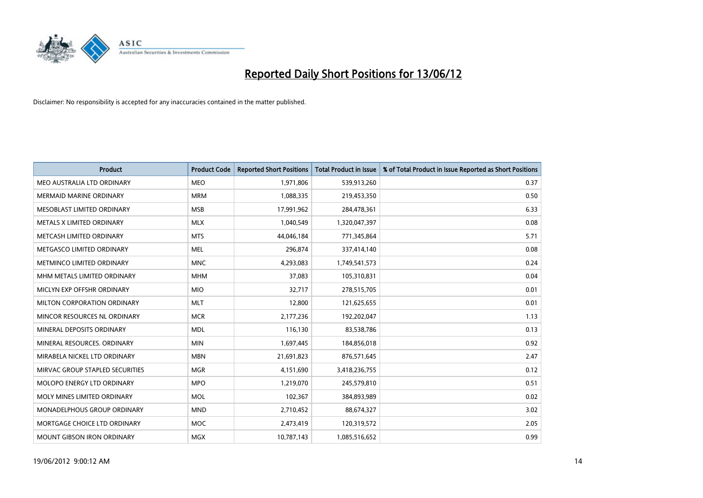

| <b>Product</b>                  | <b>Product Code</b> | <b>Reported Short Positions</b> | <b>Total Product in Issue</b> | % of Total Product in Issue Reported as Short Positions |
|---------------------------------|---------------------|---------------------------------|-------------------------------|---------------------------------------------------------|
| MEO AUSTRALIA LTD ORDINARY      | <b>MEO</b>          | 1,971,806                       | 539,913,260                   | 0.37                                                    |
| MERMAID MARINE ORDINARY         | <b>MRM</b>          | 1,088,335                       | 219,453,350                   | 0.50                                                    |
| MESOBLAST LIMITED ORDINARY      | <b>MSB</b>          | 17,991,962                      | 284,478,361                   | 6.33                                                    |
| METALS X LIMITED ORDINARY       | <b>MLX</b>          | 1,040,549                       | 1,320,047,397                 | 0.08                                                    |
| METCASH LIMITED ORDINARY        | <b>MTS</b>          | 44,046,184                      | 771,345,864                   | 5.71                                                    |
| METGASCO LIMITED ORDINARY       | <b>MEL</b>          | 296,874                         | 337,414,140                   | 0.08                                                    |
| METMINCO LIMITED ORDINARY       | <b>MNC</b>          | 4,293,083                       | 1,749,541,573                 | 0.24                                                    |
| MHM METALS LIMITED ORDINARY     | <b>MHM</b>          | 37,083                          | 105,310,831                   | 0.04                                                    |
| MICLYN EXP OFFSHR ORDINARY      | <b>MIO</b>          | 32,717                          | 278,515,705                   | 0.01                                                    |
| MILTON CORPORATION ORDINARY     | <b>MLT</b>          | 12,800                          | 121,625,655                   | 0.01                                                    |
| MINCOR RESOURCES NL ORDINARY    | <b>MCR</b>          | 2,177,236                       | 192,202,047                   | 1.13                                                    |
| MINERAL DEPOSITS ORDINARY       | <b>MDL</b>          | 116,130                         | 83,538,786                    | 0.13                                                    |
| MINERAL RESOURCES. ORDINARY     | <b>MIN</b>          | 1,697,445                       | 184,856,018                   | 0.92                                                    |
| MIRABELA NICKEL LTD ORDINARY    | <b>MBN</b>          | 21,691,823                      | 876,571,645                   | 2.47                                                    |
| MIRVAC GROUP STAPLED SECURITIES | <b>MGR</b>          | 4,151,690                       | 3,418,236,755                 | 0.12                                                    |
| MOLOPO ENERGY LTD ORDINARY      | <b>MPO</b>          | 1,219,070                       | 245,579,810                   | 0.51                                                    |
| MOLY MINES LIMITED ORDINARY     | <b>MOL</b>          | 102,367                         | 384,893,989                   | 0.02                                                    |
| MONADELPHOUS GROUP ORDINARY     | <b>MND</b>          | 2,710,452                       | 88,674,327                    | 3.02                                                    |
| MORTGAGE CHOICE LTD ORDINARY    | <b>MOC</b>          | 2,473,419                       | 120,319,572                   | 2.05                                                    |
| MOUNT GIBSON IRON ORDINARY      | <b>MGX</b>          | 10,787,143                      | 1,085,516,652                 | 0.99                                                    |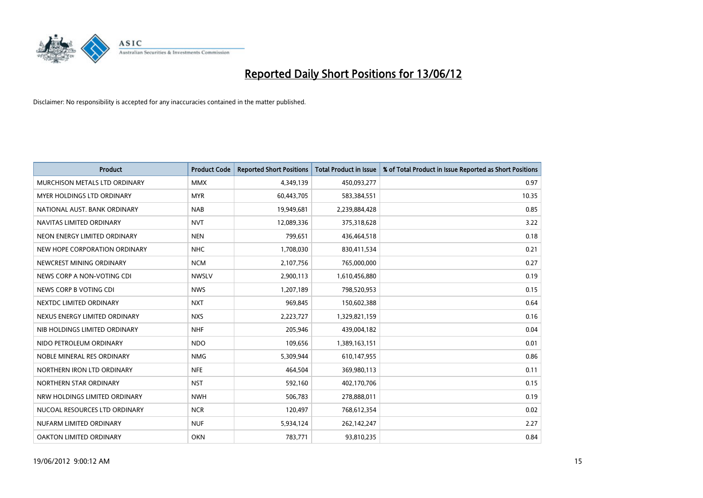

| <b>Product</b>                | <b>Product Code</b> | <b>Reported Short Positions</b> | <b>Total Product in Issue</b> | % of Total Product in Issue Reported as Short Positions |
|-------------------------------|---------------------|---------------------------------|-------------------------------|---------------------------------------------------------|
| MURCHISON METALS LTD ORDINARY | <b>MMX</b>          | 4,349,139                       | 450,093,277                   | 0.97                                                    |
| MYER HOLDINGS LTD ORDINARY    | <b>MYR</b>          | 60,443,705                      | 583,384,551                   | 10.35                                                   |
| NATIONAL AUST. BANK ORDINARY  | <b>NAB</b>          | 19,949,681                      | 2,239,884,428                 | 0.85                                                    |
| NAVITAS LIMITED ORDINARY      | <b>NVT</b>          | 12,089,336                      | 375,318,628                   | 3.22                                                    |
| NEON ENERGY LIMITED ORDINARY  | <b>NEN</b>          | 799,651                         | 436,464,518                   | 0.18                                                    |
| NEW HOPE CORPORATION ORDINARY | <b>NHC</b>          | 1,708,030                       | 830,411,534                   | 0.21                                                    |
| NEWCREST MINING ORDINARY      | <b>NCM</b>          | 2,107,756                       | 765,000,000                   | 0.27                                                    |
| NEWS CORP A NON-VOTING CDI    | <b>NWSLV</b>        | 2,900,113                       | 1,610,456,880                 | 0.19                                                    |
| NEWS CORP B VOTING CDI        | <b>NWS</b>          | 1,207,189                       | 798,520,953                   | 0.15                                                    |
| NEXTDC LIMITED ORDINARY       | <b>NXT</b>          | 969,845                         | 150,602,388                   | 0.64                                                    |
| NEXUS ENERGY LIMITED ORDINARY | <b>NXS</b>          | 2,223,727                       | 1,329,821,159                 | 0.16                                                    |
| NIB HOLDINGS LIMITED ORDINARY | <b>NHF</b>          | 205,946                         | 439,004,182                   | 0.04                                                    |
| NIDO PETROLEUM ORDINARY       | <b>NDO</b>          | 109,656                         | 1,389,163,151                 | 0.01                                                    |
| NOBLE MINERAL RES ORDINARY    | <b>NMG</b>          | 5,309,944                       | 610,147,955                   | 0.86                                                    |
| NORTHERN IRON LTD ORDINARY    | <b>NFE</b>          | 464,504                         | 369,980,113                   | 0.11                                                    |
| NORTHERN STAR ORDINARY        | <b>NST</b>          | 592,160                         | 402,170,706                   | 0.15                                                    |
| NRW HOLDINGS LIMITED ORDINARY | <b>NWH</b>          | 506,783                         | 278,888,011                   | 0.19                                                    |
| NUCOAL RESOURCES LTD ORDINARY | <b>NCR</b>          | 120,497                         | 768,612,354                   | 0.02                                                    |
| NUFARM LIMITED ORDINARY       | <b>NUF</b>          | 5,934,124                       | 262,142,247                   | 2.27                                                    |
| OAKTON LIMITED ORDINARY       | <b>OKN</b>          | 783,771                         | 93,810,235                    | 0.84                                                    |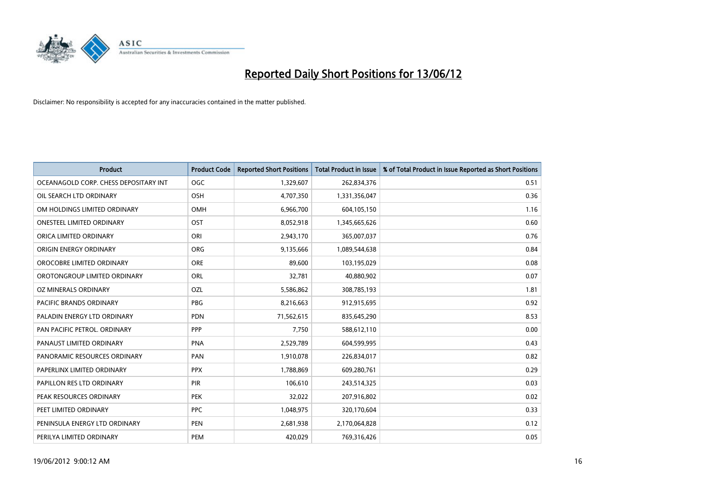

| <b>Product</b>                        | <b>Product Code</b> | <b>Reported Short Positions</b> | <b>Total Product in Issue</b> | % of Total Product in Issue Reported as Short Positions |
|---------------------------------------|---------------------|---------------------------------|-------------------------------|---------------------------------------------------------|
| OCEANAGOLD CORP. CHESS DEPOSITARY INT | <b>OGC</b>          | 1,329,607                       | 262,834,376                   | 0.51                                                    |
| OIL SEARCH LTD ORDINARY               | OSH                 | 4,707,350                       | 1,331,356,047                 | 0.36                                                    |
| OM HOLDINGS LIMITED ORDINARY          | <b>OMH</b>          | 6,966,700                       | 604,105,150                   | 1.16                                                    |
| <b>ONESTEEL LIMITED ORDINARY</b>      | OST                 | 8,052,918                       | 1,345,665,626                 | 0.60                                                    |
| ORICA LIMITED ORDINARY                | ORI                 | 2,943,170                       | 365,007,037                   | 0.76                                                    |
| ORIGIN ENERGY ORDINARY                | <b>ORG</b>          | 9,135,666                       | 1,089,544,638                 | 0.84                                                    |
| OROCOBRE LIMITED ORDINARY             | <b>ORE</b>          | 89,600                          | 103,195,029                   | 0.08                                                    |
| OROTONGROUP LIMITED ORDINARY          | <b>ORL</b>          | 32,781                          | 40,880,902                    | 0.07                                                    |
| OZ MINERALS ORDINARY                  | OZL                 | 5,586,862                       | 308,785,193                   | 1.81                                                    |
| <b>PACIFIC BRANDS ORDINARY</b>        | <b>PBG</b>          | 8,216,663                       | 912,915,695                   | 0.92                                                    |
| PALADIN ENERGY LTD ORDINARY           | <b>PDN</b>          | 71,562,615                      | 835,645,290                   | 8.53                                                    |
| PAN PACIFIC PETROL. ORDINARY          | PPP                 | 7.750                           | 588,612,110                   | 0.00                                                    |
| PANAUST LIMITED ORDINARY              | <b>PNA</b>          | 2,529,789                       | 604,599,995                   | 0.43                                                    |
| PANORAMIC RESOURCES ORDINARY          | PAN                 | 1,910,078                       | 226,834,017                   | 0.82                                                    |
| PAPERLINX LIMITED ORDINARY            | <b>PPX</b>          | 1,788,869                       | 609,280,761                   | 0.29                                                    |
| PAPILLON RES LTD ORDINARY             | <b>PIR</b>          | 106,610                         | 243,514,325                   | 0.03                                                    |
| PEAK RESOURCES ORDINARY               | <b>PEK</b>          | 32,022                          | 207,916,802                   | 0.02                                                    |
| PEET LIMITED ORDINARY                 | <b>PPC</b>          | 1,048,975                       | 320,170,604                   | 0.33                                                    |
| PENINSULA ENERGY LTD ORDINARY         | <b>PEN</b>          | 2,681,938                       | 2,170,064,828                 | 0.12                                                    |
| PERILYA LIMITED ORDINARY              | PEM                 | 420,029                         | 769,316,426                   | 0.05                                                    |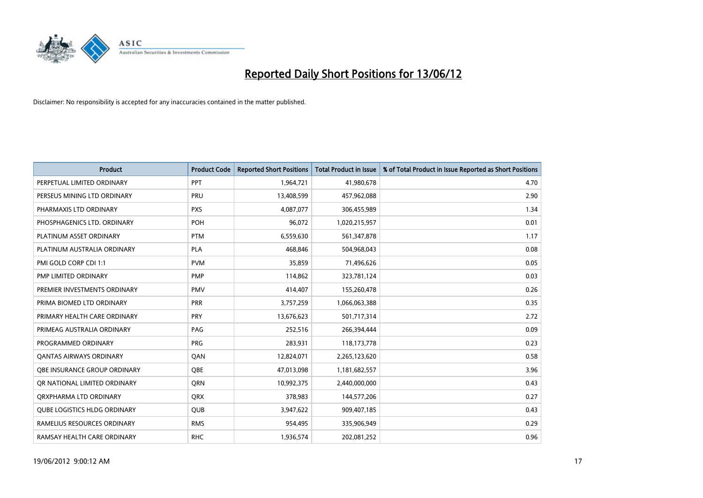

| <b>Product</b>                      | <b>Product Code</b> | <b>Reported Short Positions</b> | <b>Total Product in Issue</b> | % of Total Product in Issue Reported as Short Positions |
|-------------------------------------|---------------------|---------------------------------|-------------------------------|---------------------------------------------------------|
| PERPETUAL LIMITED ORDINARY          | PPT                 | 1,964,721                       | 41,980,678                    | 4.70                                                    |
| PERSEUS MINING LTD ORDINARY         | <b>PRU</b>          | 13,408,599                      | 457,962,088                   | 2.90                                                    |
| PHARMAXIS LTD ORDINARY              | <b>PXS</b>          | 4,087,077                       | 306,455,989                   | 1.34                                                    |
| PHOSPHAGENICS LTD. ORDINARY         | <b>POH</b>          | 96,072                          | 1,020,215,957                 | 0.01                                                    |
| PLATINUM ASSET ORDINARY             | <b>PTM</b>          | 6,559,630                       | 561,347,878                   | 1.17                                                    |
| PLATINUM AUSTRALIA ORDINARY         | <b>PLA</b>          | 468,846                         | 504,968,043                   | 0.08                                                    |
| PMI GOLD CORP CDI 1:1               | <b>PVM</b>          | 35,859                          | 71,496,626                    | 0.05                                                    |
| PMP LIMITED ORDINARY                | <b>PMP</b>          | 114,862                         | 323,781,124                   | 0.03                                                    |
| PREMIER INVESTMENTS ORDINARY        | <b>PMV</b>          | 414,407                         | 155,260,478                   | 0.26                                                    |
| PRIMA BIOMED LTD ORDINARY           | <b>PRR</b>          | 3,757,259                       | 1,066,063,388                 | 0.35                                                    |
| PRIMARY HEALTH CARE ORDINARY        | <b>PRY</b>          | 13,676,623                      | 501,717,314                   | 2.72                                                    |
| PRIMEAG AUSTRALIA ORDINARY          | PAG                 | 252,516                         | 266,394,444                   | 0.09                                                    |
| PROGRAMMED ORDINARY                 | <b>PRG</b>          | 283,931                         | 118,173,778                   | 0.23                                                    |
| <b>QANTAS AIRWAYS ORDINARY</b>      | QAN                 | 12,824,071                      | 2,265,123,620                 | 0.58                                                    |
| OBE INSURANCE GROUP ORDINARY        | <b>OBE</b>          | 47,013,098                      | 1,181,682,557                 | 3.96                                                    |
| OR NATIONAL LIMITED ORDINARY        | <b>ORN</b>          | 10,992,375                      | 2,440,000,000                 | 0.43                                                    |
| ORXPHARMA LTD ORDINARY              | <b>QRX</b>          | 378,983                         | 144,577,206                   | 0.27                                                    |
| <b>QUBE LOGISTICS HLDG ORDINARY</b> | QUB                 | 3,947,622                       | 909,407,185                   | 0.43                                                    |
| RAMELIUS RESOURCES ORDINARY         | <b>RMS</b>          | 954,495                         | 335,906,949                   | 0.29                                                    |
| RAMSAY HEALTH CARE ORDINARY         | <b>RHC</b>          | 1,936,574                       | 202,081,252                   | 0.96                                                    |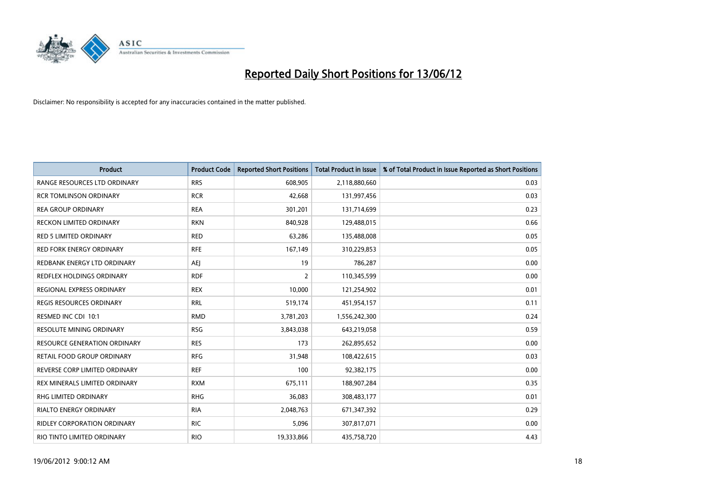

| <b>Product</b>                    | <b>Product Code</b> | <b>Reported Short Positions</b> | <b>Total Product in Issue</b> | % of Total Product in Issue Reported as Short Positions |
|-----------------------------------|---------------------|---------------------------------|-------------------------------|---------------------------------------------------------|
| RANGE RESOURCES LTD ORDINARY      | <b>RRS</b>          | 608,905                         | 2,118,880,660                 | 0.03                                                    |
| <b>RCR TOMLINSON ORDINARY</b>     | <b>RCR</b>          | 42,668                          | 131,997,456                   | 0.03                                                    |
| <b>REA GROUP ORDINARY</b>         | <b>REA</b>          | 301,201                         | 131,714,699                   | 0.23                                                    |
| RECKON LIMITED ORDINARY           | <b>RKN</b>          | 840,928                         | 129,488,015                   | 0.66                                                    |
| <b>RED 5 LIMITED ORDINARY</b>     | <b>RED</b>          | 63,286                          | 135,488,008                   | 0.05                                                    |
| <b>RED FORK ENERGY ORDINARY</b>   | <b>RFE</b>          | 167,149                         | 310,229,853                   | 0.05                                                    |
| REDBANK ENERGY LTD ORDINARY       | AEJ                 | 19                              | 786,287                       | 0.00                                                    |
| REDFLEX HOLDINGS ORDINARY         | <b>RDF</b>          | $\overline{2}$                  | 110,345,599                   | 0.00                                                    |
| <b>REGIONAL EXPRESS ORDINARY</b>  | <b>REX</b>          | 10,000                          | 121,254,902                   | 0.01                                                    |
| <b>REGIS RESOURCES ORDINARY</b>   | <b>RRL</b>          | 519,174                         | 451,954,157                   | 0.11                                                    |
| RESMED INC CDI 10:1               | <b>RMD</b>          | 3,781,203                       | 1,556,242,300                 | 0.24                                                    |
| <b>RESOLUTE MINING ORDINARY</b>   | <b>RSG</b>          | 3,843,038                       | 643,219,058                   | 0.59                                                    |
| RESOURCE GENERATION ORDINARY      | <b>RES</b>          | 173                             | 262,895,652                   | 0.00                                                    |
| <b>RETAIL FOOD GROUP ORDINARY</b> | <b>RFG</b>          | 31,948                          | 108,422,615                   | 0.03                                                    |
| REVERSE CORP LIMITED ORDINARY     | <b>REF</b>          | 100                             | 92,382,175                    | 0.00                                                    |
| REX MINERALS LIMITED ORDINARY     | <b>RXM</b>          | 675,111                         | 188,907,284                   | 0.35                                                    |
| RHG LIMITED ORDINARY              | <b>RHG</b>          | 36,083                          | 308,483,177                   | 0.01                                                    |
| <b>RIALTO ENERGY ORDINARY</b>     | <b>RIA</b>          | 2,048,763                       | 671,347,392                   | 0.29                                                    |
| RIDLEY CORPORATION ORDINARY       | <b>RIC</b>          | 5,096                           | 307,817,071                   | 0.00                                                    |
| RIO TINTO LIMITED ORDINARY        | <b>RIO</b>          | 19,333,866                      | 435,758,720                   | 4.43                                                    |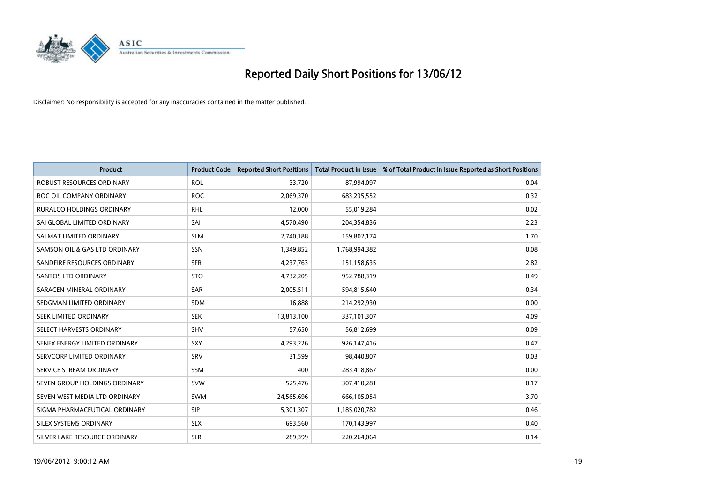

| <b>Product</b>                   | <b>Product Code</b> | <b>Reported Short Positions</b> | <b>Total Product in Issue</b> | % of Total Product in Issue Reported as Short Positions |
|----------------------------------|---------------------|---------------------------------|-------------------------------|---------------------------------------------------------|
| <b>ROBUST RESOURCES ORDINARY</b> | <b>ROL</b>          | 33,720                          | 87,994,097                    | 0.04                                                    |
| ROC OIL COMPANY ORDINARY         | <b>ROC</b>          | 2,069,370                       | 683,235,552                   | 0.32                                                    |
| <b>RURALCO HOLDINGS ORDINARY</b> | <b>RHL</b>          | 12,000                          | 55,019,284                    | 0.02                                                    |
| SAI GLOBAL LIMITED ORDINARY      | SAI                 | 4,570,490                       | 204,354,836                   | 2.23                                                    |
| SALMAT LIMITED ORDINARY          | <b>SLM</b>          | 2,740,188                       | 159,802,174                   | 1.70                                                    |
| SAMSON OIL & GAS LTD ORDINARY    | <b>SSN</b>          | 1,349,852                       | 1,768,994,382                 | 0.08                                                    |
| SANDFIRE RESOURCES ORDINARY      | <b>SFR</b>          | 4,237,763                       | 151,158,635                   | 2.82                                                    |
| <b>SANTOS LTD ORDINARY</b>       | <b>STO</b>          | 4,732,205                       | 952,788,319                   | 0.49                                                    |
| SARACEN MINERAL ORDINARY         | <b>SAR</b>          | 2,005,511                       | 594,815,640                   | 0.34                                                    |
| SEDGMAN LIMITED ORDINARY         | <b>SDM</b>          | 16,888                          | 214,292,930                   | 0.00                                                    |
| SEEK LIMITED ORDINARY            | <b>SEK</b>          | 13,813,100                      | 337,101,307                   | 4.09                                                    |
| SELECT HARVESTS ORDINARY         | <b>SHV</b>          | 57,650                          | 56,812,699                    | 0.09                                                    |
| SENEX ENERGY LIMITED ORDINARY    | SXY                 | 4,293,226                       | 926,147,416                   | 0.47                                                    |
| SERVCORP LIMITED ORDINARY        | SRV                 | 31,599                          | 98,440,807                    | 0.03                                                    |
| SERVICE STREAM ORDINARY          | SSM                 | 400                             | 283,418,867                   | 0.00                                                    |
| SEVEN GROUP HOLDINGS ORDINARY    | <b>SVW</b>          | 525,476                         | 307,410,281                   | 0.17                                                    |
| SEVEN WEST MEDIA LTD ORDINARY    | <b>SWM</b>          | 24,565,696                      | 666,105,054                   | 3.70                                                    |
| SIGMA PHARMACEUTICAL ORDINARY    | <b>SIP</b>          | 5,301,307                       | 1,185,020,782                 | 0.46                                                    |
| SILEX SYSTEMS ORDINARY           | <b>SLX</b>          | 693,560                         | 170,143,997                   | 0.40                                                    |
| SILVER LAKE RESOURCE ORDINARY    | <b>SLR</b>          | 289,399                         | 220,264,064                   | 0.14                                                    |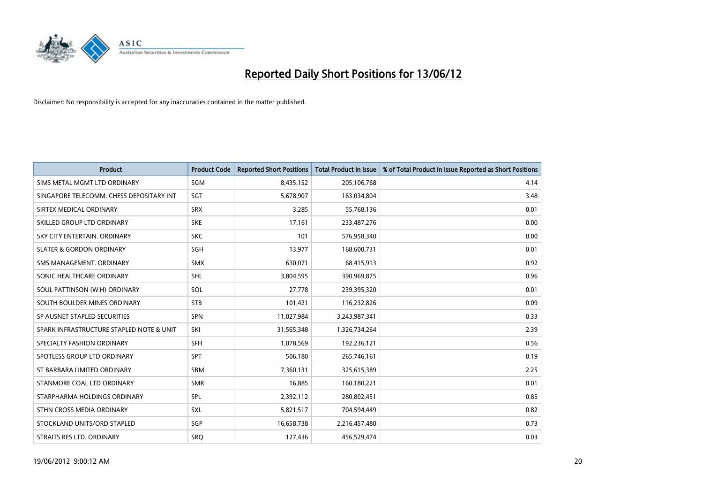

| <b>Product</b>                           | <b>Product Code</b> | <b>Reported Short Positions</b> | <b>Total Product in Issue</b> | % of Total Product in Issue Reported as Short Positions |
|------------------------------------------|---------------------|---------------------------------|-------------------------------|---------------------------------------------------------|
| SIMS METAL MGMT LTD ORDINARY             | SGM                 | 8,435,152                       | 205,106,768                   | 4.14                                                    |
| SINGAPORE TELECOMM. CHESS DEPOSITARY INT | <b>SGT</b>          | 5,678,907                       | 163,034,804                   | 3.48                                                    |
| SIRTEX MEDICAL ORDINARY                  | <b>SRX</b>          | 3,285                           | 55,768,136                    | 0.01                                                    |
| SKILLED GROUP LTD ORDINARY               | <b>SKE</b>          | 17,161                          | 233,487,276                   | 0.00                                                    |
| SKY CITY ENTERTAIN, ORDINARY             | <b>SKC</b>          | 101                             | 576,958,340                   | 0.00                                                    |
| <b>SLATER &amp; GORDON ORDINARY</b>      | <b>SGH</b>          | 13,977                          | 168,600,731                   | 0.01                                                    |
| SMS MANAGEMENT, ORDINARY                 | <b>SMX</b>          | 630,071                         | 68,415,913                    | 0.92                                                    |
| SONIC HEALTHCARE ORDINARY                | <b>SHL</b>          | 3,804,595                       | 390,969,875                   | 0.96                                                    |
| SOUL PATTINSON (W.H) ORDINARY            | SOL                 | 27,778                          | 239,395,320                   | 0.01                                                    |
| SOUTH BOULDER MINES ORDINARY             | <b>STB</b>          | 101,421                         | 116,232,826                   | 0.09                                                    |
| SP AUSNET STAPLED SECURITIES             | SPN                 | 11,027,984                      | 3,243,987,341                 | 0.33                                                    |
| SPARK INFRASTRUCTURE STAPLED NOTE & UNIT | SKI                 | 31,565,348                      | 1,326,734,264                 | 2.39                                                    |
| SPECIALTY FASHION ORDINARY               | <b>SFH</b>          | 1,078,569                       | 192,236,121                   | 0.56                                                    |
| SPOTLESS GROUP LTD ORDINARY              | <b>SPT</b>          | 506,180                         | 265,746,161                   | 0.19                                                    |
| ST BARBARA LIMITED ORDINARY              | SBM                 | 7,360,131                       | 325,615,389                   | 2.25                                                    |
| STANMORE COAL LTD ORDINARY               | <b>SMR</b>          | 16,885                          | 160,180,221                   | 0.01                                                    |
| STARPHARMA HOLDINGS ORDINARY             | SPL                 | 2,392,112                       | 280,802,451                   | 0.85                                                    |
| STHN CROSS MEDIA ORDINARY                | <b>SXL</b>          | 5,821,517                       | 704,594,449                   | 0.82                                                    |
| STOCKLAND UNITS/ORD STAPLED              | SGP                 | 16,658,738                      | 2,216,457,480                 | 0.73                                                    |
| STRAITS RES LTD. ORDINARY                | SRQ                 | 127,436                         | 456,529,474                   | 0.03                                                    |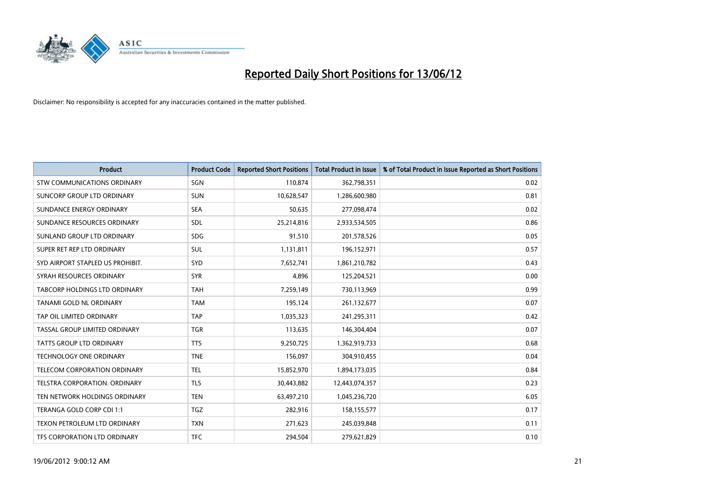

| <b>Product</b>                     | <b>Product Code</b> | <b>Reported Short Positions</b> | <b>Total Product in Issue</b> | % of Total Product in Issue Reported as Short Positions |
|------------------------------------|---------------------|---------------------------------|-------------------------------|---------------------------------------------------------|
| <b>STW COMMUNICATIONS ORDINARY</b> | SGN                 | 110,874                         | 362,798,351                   | 0.02                                                    |
| SUNCORP GROUP LTD ORDINARY         | <b>SUN</b>          | 10,628,547                      | 1,286,600,980                 | 0.81                                                    |
| SUNDANCE ENERGY ORDINARY           | <b>SEA</b>          | 50,635                          | 277,098,474                   | 0.02                                                    |
| SUNDANCE RESOURCES ORDINARY        | SDL                 | 25,214,816                      | 2,933,534,505                 | 0.86                                                    |
| SUNLAND GROUP LTD ORDINARY         | <b>SDG</b>          | 91,510                          | 201,578,526                   | 0.05                                                    |
| SUPER RET REP LTD ORDINARY         | SUL                 | 1,131,811                       | 196,152,971                   | 0.57                                                    |
| SYD AIRPORT STAPLED US PROHIBIT.   | <b>SYD</b>          | 7,652,741                       | 1,861,210,782                 | 0.43                                                    |
| SYRAH RESOURCES ORDINARY           | <b>SYR</b>          | 4,896                           | 125,204,521                   | 0.00                                                    |
| TABCORP HOLDINGS LTD ORDINARY      | <b>TAH</b>          | 7,259,149                       | 730,113,969                   | 0.99                                                    |
| TANAMI GOLD NL ORDINARY            | <b>TAM</b>          | 195,124                         | 261,132,677                   | 0.07                                                    |
| TAP OIL LIMITED ORDINARY           | <b>TAP</b>          | 1,035,323                       | 241,295,311                   | 0.42                                                    |
| TASSAL GROUP LIMITED ORDINARY      | <b>TGR</b>          | 113,635                         | 146,304,404                   | 0.07                                                    |
| <b>TATTS GROUP LTD ORDINARY</b>    | <b>TTS</b>          | 9,250,725                       | 1,362,919,733                 | 0.68                                                    |
| <b>TECHNOLOGY ONE ORDINARY</b>     | <b>TNE</b>          | 156,097                         | 304,910,455                   | 0.04                                                    |
| TELECOM CORPORATION ORDINARY       | <b>TEL</b>          | 15,852,970                      | 1,894,173,035                 | 0.84                                                    |
| TELSTRA CORPORATION. ORDINARY      | <b>TLS</b>          | 30,443,882                      | 12,443,074,357                | 0.23                                                    |
| TEN NETWORK HOLDINGS ORDINARY      | <b>TEN</b>          | 63,497,210                      | 1,045,236,720                 | 6.05                                                    |
| TERANGA GOLD CORP CDI 1:1          | <b>TGZ</b>          | 282,916                         | 158,155,577                   | 0.17                                                    |
| TEXON PETROLEUM LTD ORDINARY       | <b>TXN</b>          | 271,623                         | 245,039,848                   | 0.11                                                    |
| TFS CORPORATION LTD ORDINARY       | <b>TFC</b>          | 294,504                         | 279,621,829                   | 0.10                                                    |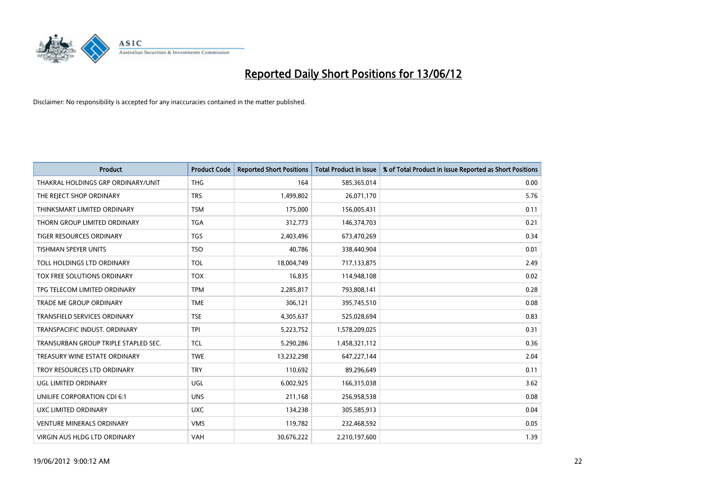

| Product                              | <b>Product Code</b> | <b>Reported Short Positions</b> | <b>Total Product in Issue</b> | % of Total Product in Issue Reported as Short Positions |
|--------------------------------------|---------------------|---------------------------------|-------------------------------|---------------------------------------------------------|
| THAKRAL HOLDINGS GRP ORDINARY/UNIT   | <b>THG</b>          | 164                             | 585,365,014                   | 0.00                                                    |
| THE REJECT SHOP ORDINARY             | <b>TRS</b>          | 1,499,802                       | 26,071,170                    | 5.76                                                    |
| THINKSMART LIMITED ORDINARY          | <b>TSM</b>          | 175,000                         | 156,005,431                   | 0.11                                                    |
| THORN GROUP LIMITED ORDINARY         | <b>TGA</b>          | 312,773                         | 146,374,703                   | 0.21                                                    |
| <b>TIGER RESOURCES ORDINARY</b>      | <b>TGS</b>          | 2,403,496                       | 673,470,269                   | 0.34                                                    |
| <b>TISHMAN SPEYER UNITS</b>          | <b>TSO</b>          | 40,786                          | 338,440,904                   | 0.01                                                    |
| TOLL HOLDINGS LTD ORDINARY           | <b>TOL</b>          | 18,004,749                      | 717,133,875                   | 2.49                                                    |
| TOX FREE SOLUTIONS ORDINARY          | <b>TOX</b>          | 16,835                          | 114,948,108                   | 0.02                                                    |
| TPG TELECOM LIMITED ORDINARY         | <b>TPM</b>          | 2,285,817                       | 793,808,141                   | 0.28                                                    |
| <b>TRADE ME GROUP ORDINARY</b>       | <b>TME</b>          | 306,121                         | 395,745,510                   | 0.08                                                    |
| TRANSFIELD SERVICES ORDINARY         | <b>TSE</b>          | 4,305,637                       | 525,028,694                   | 0.83                                                    |
| TRANSPACIFIC INDUST, ORDINARY        | <b>TPI</b>          | 5,223,752                       | 1,578,209,025                 | 0.31                                                    |
| TRANSURBAN GROUP TRIPLE STAPLED SEC. | <b>TCL</b>          | 5,290,286                       | 1,458,321,112                 | 0.36                                                    |
| TREASURY WINE ESTATE ORDINARY        | <b>TWE</b>          | 13,232,298                      | 647,227,144                   | 2.04                                                    |
| TROY RESOURCES LTD ORDINARY          | <b>TRY</b>          | 110,692                         | 89,296,649                    | 0.11                                                    |
| UGL LIMITED ORDINARY                 | UGL                 | 6,002,925                       | 166,315,038                   | 3.62                                                    |
| UNILIFE CORPORATION CDI 6:1          | <b>UNS</b>          | 211,168                         | 256,958,538                   | 0.08                                                    |
| UXC LIMITED ORDINARY                 | <b>UXC</b>          | 134,238                         | 305,585,913                   | 0.04                                                    |
| <b>VENTURE MINERALS ORDINARY</b>     | <b>VMS</b>          | 119,782                         | 232,468,592                   | 0.05                                                    |
| VIRGIN AUS HLDG LTD ORDINARY         | <b>VAH</b>          | 30,676,222                      | 2,210,197,600                 | 1.39                                                    |